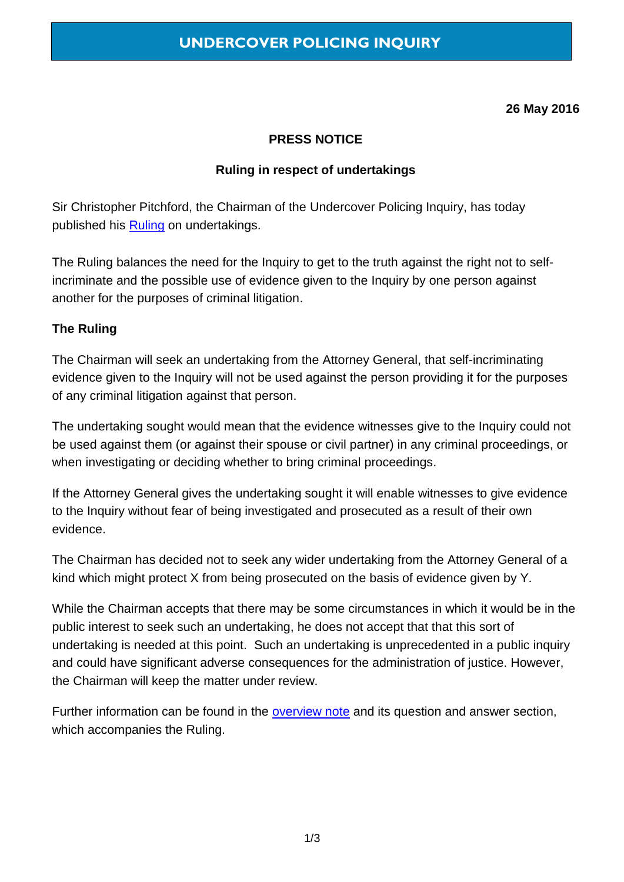**26 May 2016**

### **PRESS NOTICE**

### **Ruling in respect of undertakings**

Sir Christopher Pitchford, the Chairman of the Undercover Policing Inquiry, has today published his [Ruling](https://www.ucpi.org.uk/wp-content/uploads/2016/05/160526-ruling-undertakings.pdf) on undertakings.

The Ruling balances the need for the Inquiry to get to the truth against the right not to selfincriminate and the possible use of evidence given to the Inquiry by one person against another for the purposes of criminal litigation.

### **The Ruling**

The Chairman will seek an undertaking from the Attorney General, that self-incriminating evidence given to the Inquiry will not be used against the person providing it for the purposes of any criminal litigation against that person.

The undertaking sought would mean that the evidence witnesses give to the Inquiry could not be used against them (or against their spouse or civil partner) in any criminal proceedings, or when investigating or deciding whether to bring criminal proceedings.

If the Attorney General gives the undertaking sought it will enable witnesses to give evidence to the Inquiry without fear of being investigated and prosecuted as a result of their own evidence.

The Chairman has decided not to seek any wider undertaking from the Attorney General of a kind which might protect X from being prosecuted on the basis of evidence given by Y.

While the Chairman accepts that there may be some circumstances in which it would be in the public interest to seek such an undertaking, he does not accept that that this sort of undertaking is needed at this point. Such an undertaking is unprecedented in a public inquiry and could have significant adverse consequences for the administration of justice. However, the Chairman will keep the matter under review.

Further information can be found in the [overview](https://www.ucpi.org.uk/wp-content/uploads/2016/05/160526-overview-note-undertakings.pdf) note and its question and answer section, which accompanies the Ruling.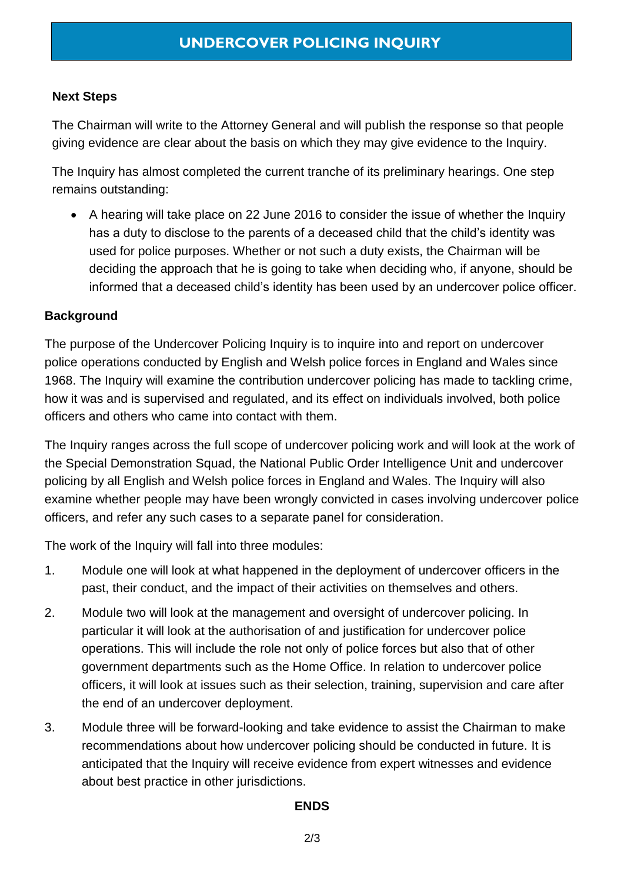# **Next Steps**

The Chairman will write to the Attorney General and will publish the response so that people giving evidence are clear about the basis on which they may give evidence to the Inquiry.

The Inquiry has almost completed the current tranche of its preliminary hearings. One step remains outstanding:

 A hearing will take place on 22 June 2016 to consider the issue of whether the Inquiry has a duty to disclose to the parents of a deceased child that the child's identity was used for police purposes. Whether or not such a duty exists, the Chairman will be deciding the approach that he is going to take when deciding who, if anyone, should be informed that a deceased child's identity has been used by an undercover police officer.

# **Background**

The purpose of the Undercover Policing Inquiry is to inquire into and report on undercover police operations conducted by English and Welsh police forces in England and Wales since 1968. The Inquiry will examine the contribution undercover policing has made to tackling crime, how it was and is supervised and regulated, and its effect on individuals involved, both police officers and others who came into contact with them.

The Inquiry ranges across the full scope of undercover policing work and will look at the work of the Special Demonstration Squad, the National Public Order Intelligence Unit and undercover policing by all English and Welsh police forces in England and Wales. The Inquiry will also examine whether people may have been wrongly convicted in cases involving undercover police officers, and refer any such cases to a separate panel for consideration.

The work of the Inquiry will fall into three modules:

- 1. Module one will look at what happened in the deployment of undercover officers in the past, their conduct, and the impact of their activities on themselves and others.
- 2. Module two will look at the management and oversight of undercover policing. In particular it will look at the authorisation of and justification for undercover police operations. This will include the role not only of police forces but also that of other government departments such as the Home Office. In relation to undercover police officers, it will look at issues such as their selection, training, supervision and care after the end of an undercover deployment.
- 3. Module three will be forward-looking and take evidence to assist the Chairman to make recommendations about how undercover policing should be conducted in future. It is anticipated that the Inquiry will receive evidence from expert witnesses and evidence about best practice in other jurisdictions.

# **ENDS**